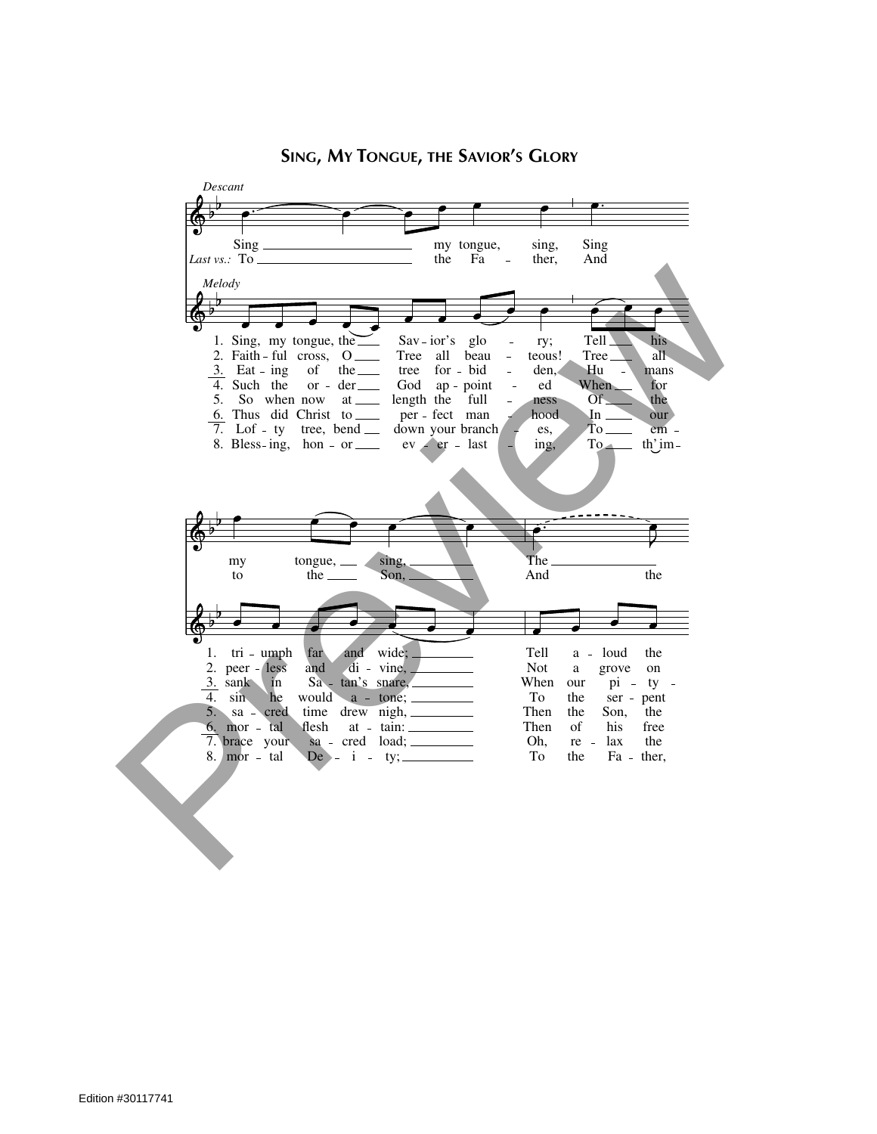

## SING, MY TONGUE, THE SAVIOR'S GLORY